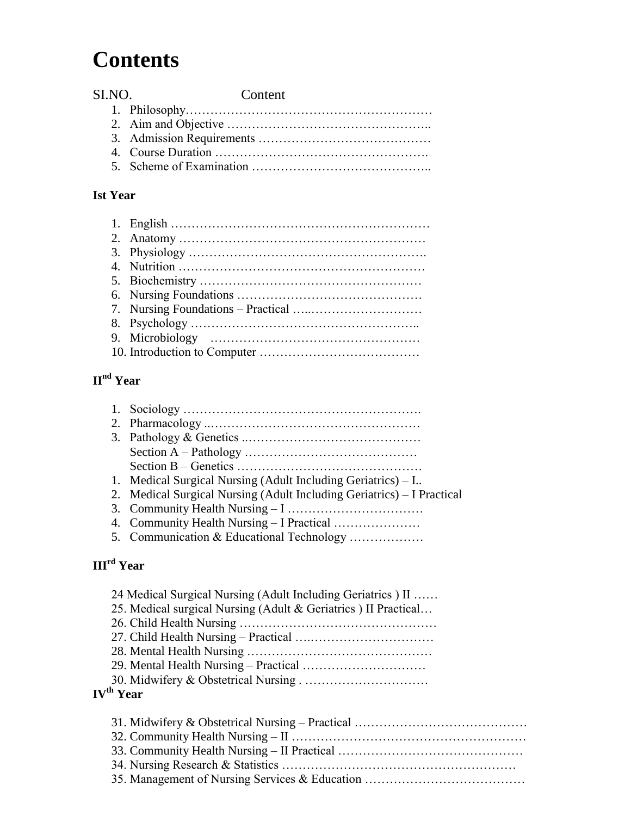# **Contents**

| SLNO. | Content |
|-------|---------|
|       |         |
|       |         |
|       |         |
|       |         |
|       |         |

#### **Ist Year**

# **IInd Year**

| 1. Medical Surgical Nursing (Adult Including Geriatrics) – I           |
|------------------------------------------------------------------------|
| 2. Medical Surgical Nursing (Adult Including Geriatrics) – I Practical |
|                                                                        |
|                                                                        |
| 5. Communication & Educational Technology                              |

# **IIIrd Year**

| 24 Medical Surgical Nursing (Adult Including Geriatrics) II    |  |
|----------------------------------------------------------------|--|
| 25. Medical surgical Nursing (Adult & Geriatrics) II Practical |  |
|                                                                |  |
|                                                                |  |
|                                                                |  |
|                                                                |  |
|                                                                |  |
| <b>IV<sup>th</sup></b> Year                                    |  |
|                                                                |  |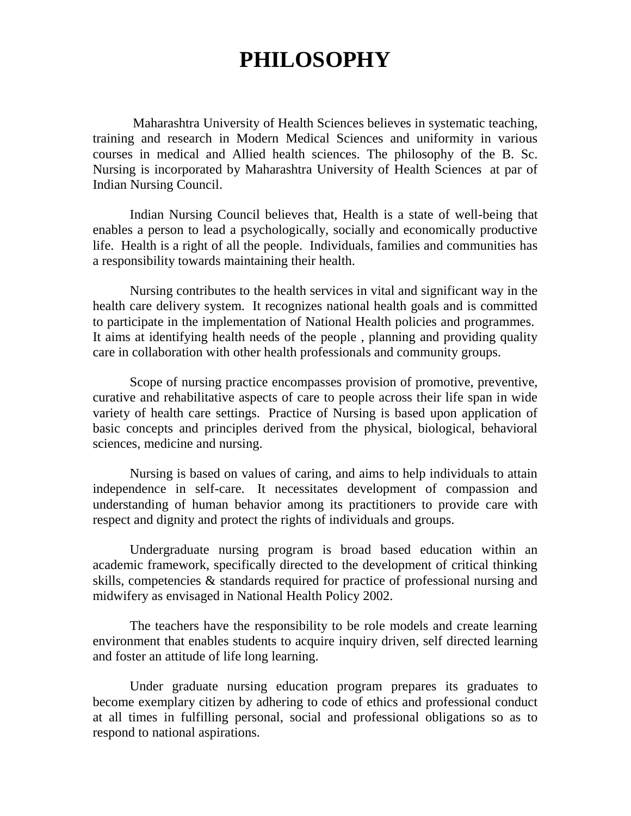# **PHILOSOPHY**

Maharashtra University of Health Sciences believes in systematic teaching, training and research in Modern Medical Sciences and uniformity in various courses in medical and Allied health sciences. The philosophy of the B. Sc. Nursing is incorporated by Maharashtra University of Health Sciences at par of Indian Nursing Council.

Indian Nursing Council believes that, Health is a state of well-being that enables a person to lead a psychologically, socially and economically productive life. Health is a right of all the people. Individuals, families and communities has a responsibility towards maintaining their health.

Nursing contributes to the health services in vital and significant way in the health care delivery system. It recognizes national health goals and is committed to participate in the implementation of National Health policies and programmes. It aims at identifying health needs of the people , planning and providing quality care in collaboration with other health professionals and community groups.

Scope of nursing practice encompasses provision of promotive, preventive, curative and rehabilitative aspects of care to people across their life span in wide variety of health care settings. Practice of Nursing is based upon application of basic concepts and principles derived from the physical, biological, behavioral sciences, medicine and nursing.

Nursing is based on values of caring, and aims to help individuals to attain independence in self-care. It necessitates development of compassion and understanding of human behavior among its practitioners to provide care with respect and dignity and protect the rights of individuals and groups.

Undergraduate nursing program is broad based education within an academic framework, specifically directed to the development of critical thinking skills, competencies & standards required for practice of professional nursing and midwifery as envisaged in National Health Policy 2002.

The teachers have the responsibility to be role models and create learning environment that enables students to acquire inquiry driven, self directed learning and foster an attitude of life long learning.

Under graduate nursing education program prepares its graduates to become exemplary citizen by adhering to code of ethics and professional conduct at all times in fulfilling personal, social and professional obligations so as to respond to national aspirations.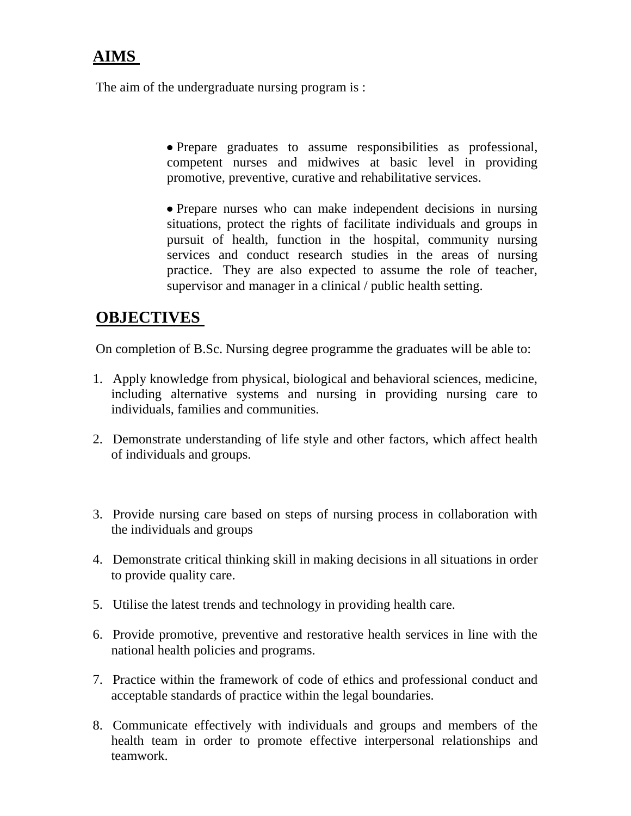# **AIMS**

The aim of the undergraduate nursing program is :

Prepare graduates to assume responsibilities as professional, competent nurses and midwives at basic level in providing promotive, preventive, curative and rehabilitative services.

• Prepare nurses who can make independent decisions in nursing situations, protect the rights of facilitate individuals and groups in pursuit of health, function in the hospital, community nursing services and conduct research studies in the areas of nursing practice. They are also expected to assume the role of teacher, supervisor and manager in a clinical / public health setting.

### **OBJECTIVES**

On completion of B.Sc. Nursing degree programme the graduates will be able to:

- 1. Apply knowledge from physical, biological and behavioral sciences, medicine, including alternative systems and nursing in providing nursing care to individuals, families and communities.
- 2. Demonstrate understanding of life style and other factors, which affect health of individuals and groups.
- 3. Provide nursing care based on steps of nursing process in collaboration with the individuals and groups
- 4. Demonstrate critical thinking skill in making decisions in all situations in order to provide quality care.
- 5. Utilise the latest trends and technology in providing health care.
- 6. Provide promotive, preventive and restorative health services in line with the national health policies and programs.
- 7. Practice within the framework of code of ethics and professional conduct and acceptable standards of practice within the legal boundaries.
- 8. Communicate effectively with individuals and groups and members of the health team in order to promote effective interpersonal relationships and teamwork.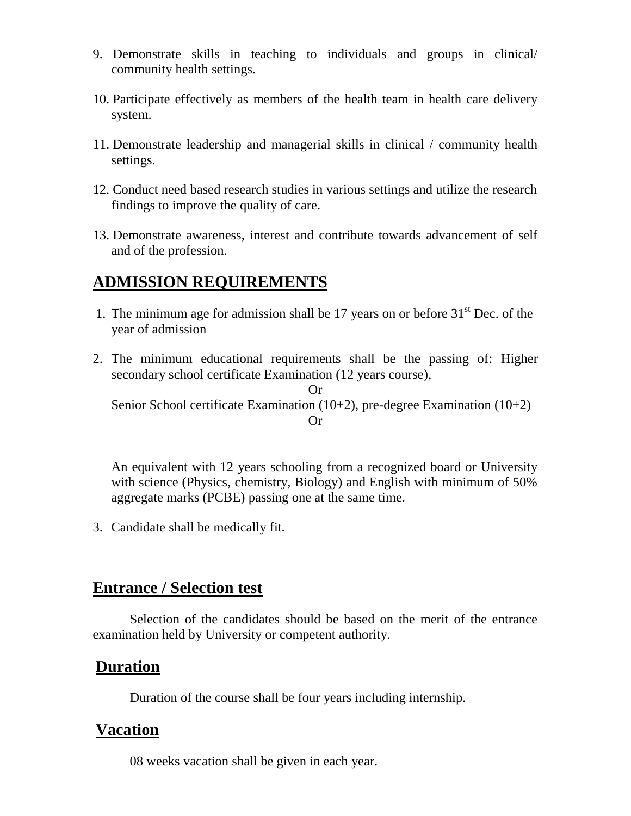- 9. Demonstrate skills in teaching to individuals and groups in clinical/ community health settings.
- 10. Participate effectively as members of the health team in health care delivery system.
- 11. Demonstrate leadership and managerial skills in clinical / community health settings.
- 12. Conduct need based research studies in various settings and utilize the research findings to improve the quality of care.
- 13. Demonstrate awareness, interest and contribute towards advancement of self and of the profession.

### **ADMISSION REQUIREMENTS**

- 1. The minimum age for admission shall be 17 years on or before  $31<sup>st</sup>$  Dec. of the year of admission
- 2. The minimum educational requirements shall be the passing of: Higher secondary school certificate Examination (12 years course),

Or Senior School certificate Examination (10+2), pre-degree Examination (10+2) Or

An equivalent with 12 years schooling from a recognized board or University with science (Physics, chemistry, Biology) and English with minimum of 50% aggregate marks (PCBE) passing one at the same time.

3. Candidate shall be medically fit.

#### **Entrance / Selection test**

Selection of the candidates should be based on the merit of the entrance examination held by University or competent authority.

#### **Duration**

Duration of the course shall be four years including internship.

#### **Vacation**

08 weeks vacation shall be given in each year.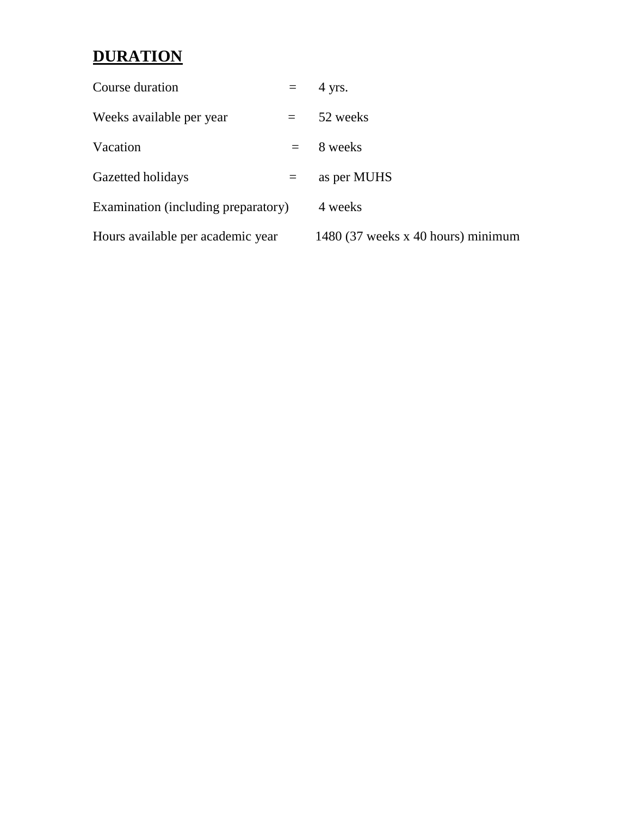# **DURATION**

| Course duration                     | $=$     | 4 yrs.                             |
|-------------------------------------|---------|------------------------------------|
| Weeks available per year            | $=$ $-$ | 52 weeks                           |
| Vacation                            | $=$     | 8 weeks                            |
| Gazetted holidays                   | $=$     | as per MUHS                        |
| Examination (including preparatory) |         | 4 weeks                            |
| Hours available per academic year   |         | 1480 (37 weeks x 40 hours) minimum |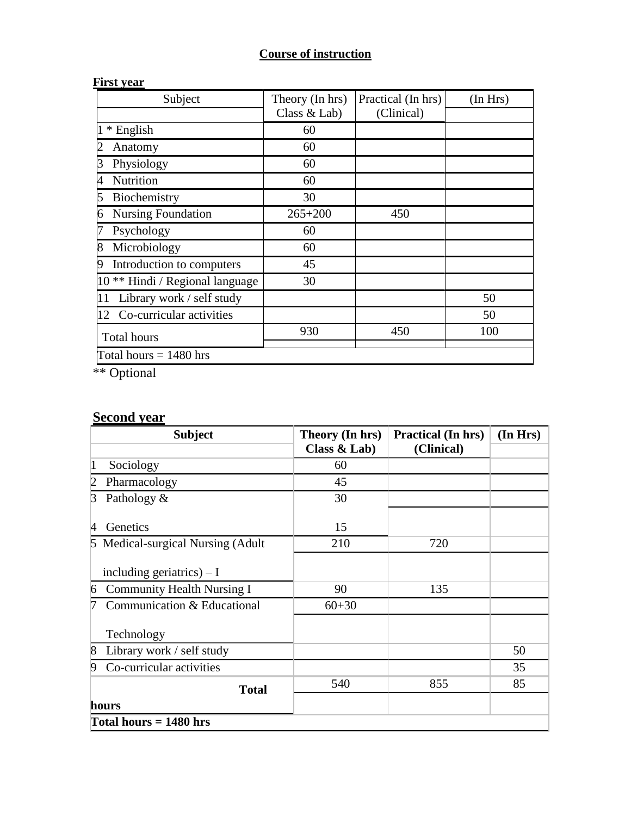## **Course of instruction**

| Subject                                    | Theory (In hrs) | Practical (In hrs) | (In Hrs) |  |  |
|--------------------------------------------|-----------------|--------------------|----------|--|--|
|                                            | Class & Lab)    | (Clinical)         |          |  |  |
| * English                                  | 60              |                    |          |  |  |
| Anatomy                                    | 60              |                    |          |  |  |
| Physiology<br>3                            | 60              |                    |          |  |  |
| Nutrition<br>4                             | 60              |                    |          |  |  |
| Biochemistry<br>5                          | 30              |                    |          |  |  |
| <b>Nursing Foundation</b><br>6             | $265 + 200$     | 450                |          |  |  |
| Psychology                                 | 60              |                    |          |  |  |
| 8<br>Microbiology                          | 60              |                    |          |  |  |
| Introduction to computers                  | 45              |                    |          |  |  |
| 10 <sup>**</sup> Hindi / Regional language | 30              |                    |          |  |  |
| Library work / self study<br>11            |                 |                    | 50       |  |  |
| Co-curricular activities<br>12             |                 |                    | 50       |  |  |
| <b>Total hours</b>                         | 930             | 450                | 100      |  |  |
| Total hours $= 1480$ hrs                   |                 |                    |          |  |  |

#### **First year**

\*\* Optional

# **Second year**

| <b>Subject</b>                              | Theory (In hrs) | <b>Practical (In hrs)</b> | (In Hrs) |  |
|---------------------------------------------|-----------------|---------------------------|----------|--|
|                                             | Class $&$ Lab)  | (Clinical)                |          |  |
| 1<br>Sociology                              | 60              |                           |          |  |
| $\overline{2}$<br>Pharmacology              | 45              |                           |          |  |
| $\beta$<br>Pathology &                      | 30              |                           |          |  |
| Genetics<br>$\overline{4}$                  | 15              |                           |          |  |
| 5 Medical-surgical Nursing (Adult           | 210             | 720                       |          |  |
| including geriatrics) $- I$                 |                 |                           |          |  |
| <b>Community Health Nursing I</b><br>6      | 90              | 135                       |          |  |
| Communication & Educational                 | $60 + 30$       |                           |          |  |
| Technology                                  |                 |                           |          |  |
| $\overline{8}$<br>Library work / self study |                 |                           | 50       |  |
| Co-curricular activities<br>9               |                 |                           | 35       |  |
| <b>Total</b>                                | 540             | 855                       | 85       |  |
| hours                                       |                 |                           |          |  |
| Total hours $= 1480$ hrs                    |                 |                           |          |  |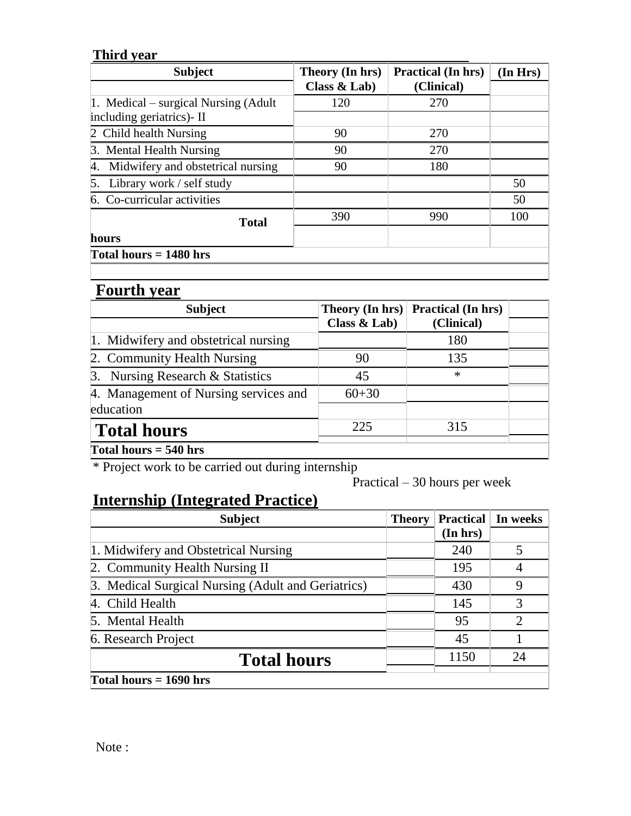#### **Third year**

| <b>Subject</b>                       | Theory (In hrs) | <b>Practical (In hrs)</b> | (In Hrs) |
|--------------------------------------|-----------------|---------------------------|----------|
|                                      | Class $&$ Lab)  | (Clinical)                |          |
| 1. Medical – surgical Nursing (Adult | 120             | 270                       |          |
| including geriatrics)- II            |                 |                           |          |
| 2 Child health Nursing               | 90              | 270                       |          |
| 3. Mental Health Nursing             | 90              | 270                       |          |
| 4. Midwifery and obstetrical nursing | 90              | 180                       |          |
| 5. Library work / self study         |                 |                           | 50       |
| 6. Co-curricular activities          |                 |                           | 50       |
| <b>Total</b>                         | 390             | 990                       | 100      |
| hours                                |                 |                           |          |
| Total hours $= 1480$ hrs             |                 |                           |          |

# **Fourth year**

| <b>Subject</b>                        | <b>Theory (In hrs)</b> | <b>Practical (In hrs)</b> |  |
|---------------------------------------|------------------------|---------------------------|--|
|                                       | Class $&$ Lab)         | (Clinical)                |  |
| 1. Midwifery and obstetrical nursing  |                        | 180                       |  |
| 2. Community Health Nursing           | 90                     | 135                       |  |
| 3. Nursing Research & Statistics      | 45                     | $\ast$                    |  |
| 4. Management of Nursing services and | $60 + 30$              |                           |  |
| education                             |                        |                           |  |
| <b>Total hours</b>                    | 225                    | 315                       |  |
| Total hours $= 540$ hrs               |                        |                           |  |

\* Project work to be carried out during internship

Practical – 30 hours per week

# **Internship (Integrated Practice)**

| <b>Subject</b>                                     | <b>Theory</b> | <b>Practical</b> | In weeks |
|----------------------------------------------------|---------------|------------------|----------|
|                                                    |               | (In hrs)         |          |
| 1. Midwifery and Obstetrical Nursing               |               | 240              | 5        |
| 2. Community Health Nursing II                     |               | 195              |          |
| 3. Medical Surgical Nursing (Adult and Geriatrics) |               | 430              | 9        |
| 4. Child Health                                    |               | 145              | 3        |
| 5. Mental Health                                   |               | 95               | 2        |
| 6. Research Project                                |               | 45               |          |
| <b>Total hours</b>                                 |               | 1150             | 24       |
| Total hours $= 1690$ hrs                           |               |                  |          |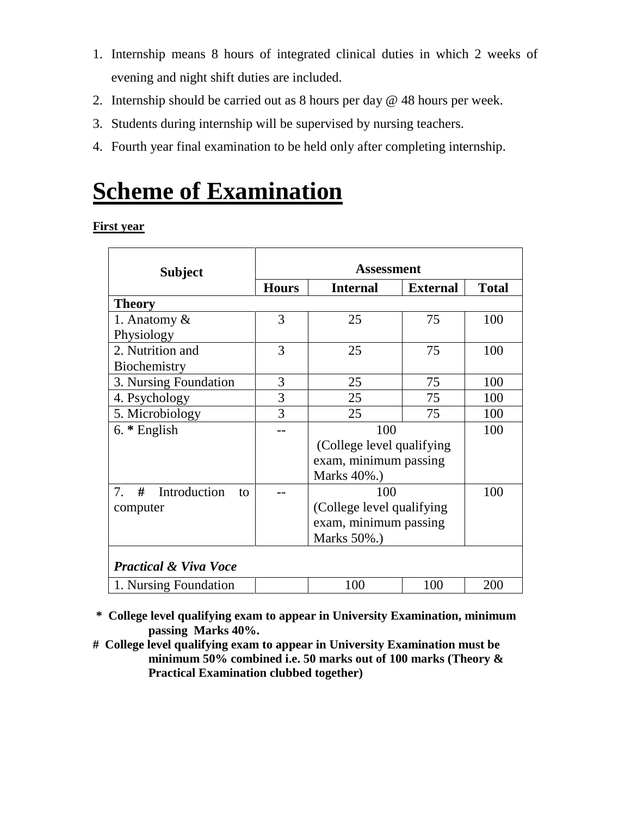- 1. Internship means 8 hours of integrated clinical duties in which 2 weeks of evening and night shift duties are included.
- 2. Internship should be carried out as 8 hours per day @ 48 hours per week.
- 3. Students during internship will be supervised by nursing teachers.
- 4. Fourth year final examination to be held only after completing internship.

# **Scheme of Examination**

**First year**

| <b>Subject</b>                   | Assessment   |                            |                 |              |  |
|----------------------------------|--------------|----------------------------|-----------------|--------------|--|
|                                  | <b>Hours</b> | <b>Internal</b>            | <b>External</b> | <b>Total</b> |  |
| <b>Theory</b>                    |              |                            |                 |              |  |
| 1. Anatomy &                     | 3            | 25                         | 75              | 100          |  |
| Physiology                       |              |                            |                 |              |  |
| 2. Nutrition and                 | 3            | 25                         | 75              | 100          |  |
| Biochemistry                     |              |                            |                 |              |  |
| 3. Nursing Foundation            | 3            | 25                         | 75              | 100          |  |
| 4. Psychology                    | 3            | 25                         | 75              | 100          |  |
| 5. Microbiology                  | 3            | 25                         | 75              | 100          |  |
| $6.*$ English                    |              | 100                        |                 | 100          |  |
|                                  |              | (College level qualifying) |                 |              |  |
|                                  |              | exam, minimum passing      |                 |              |  |
|                                  |              | Marks 40%.)                |                 |              |  |
| #<br>Introduction<br>7.<br>to    |              | 100                        |                 | 100          |  |
| computer                         |              | (College level qualifying) |                 |              |  |
|                                  |              | exam, minimum passing      |                 |              |  |
|                                  |              | Marks 50%.)                |                 |              |  |
|                                  |              |                            |                 |              |  |
| <b>Practical &amp; Viva Voce</b> |              |                            |                 |              |  |
| 1. Nursing Foundation            |              | 100                        | 100             | 200          |  |

**\* College level qualifying exam to appear in University Examination, minimum passing Marks 40%.**

**# College level qualifying exam to appear in University Examination must be minimum 50% combined i.e. 50 marks out of 100 marks (Theory & Practical Examination clubbed together)**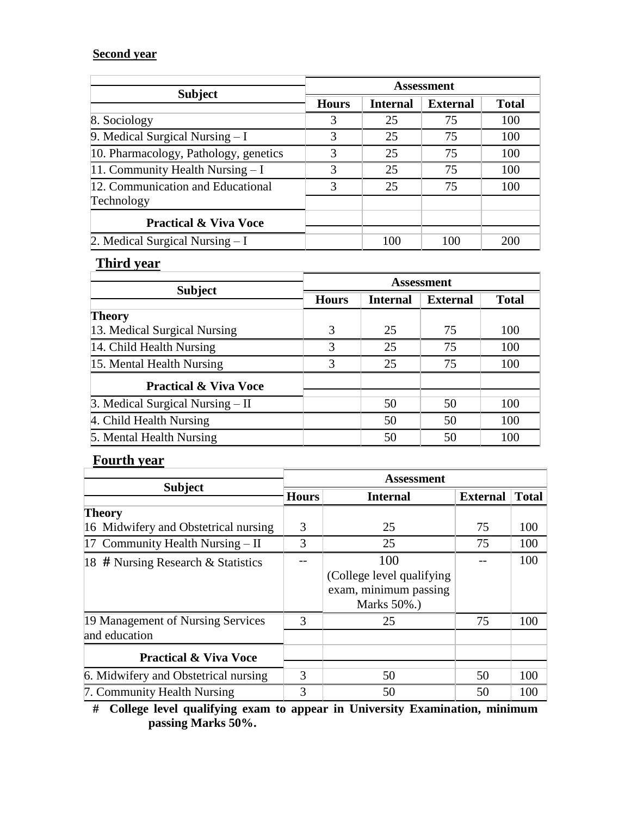#### **Second year**

| <b>Subject</b>                        | <b>Assessment</b> |          |                 |              |
|---------------------------------------|-------------------|----------|-----------------|--------------|
|                                       | <b>Hours</b>      | Internal | <b>External</b> | <b>Total</b> |
| 8. Sociology                          | 3                 | 25       | 75              | 100          |
| 9. Medical Surgical Nursing $-I$      | 3                 | 25       | 75              | 100          |
| 10. Pharmacology, Pathology, genetics | 3                 | 25       | 75              | 100          |
| 11. Community Health Nursing $-I$     | 3                 | 25       | 75              | 100          |
| 12. Communication and Educational     | 3                 | 25       | 75              | 100          |
| Technology                            |                   |          |                 |              |
| <b>Practical &amp; Viva Voce</b>      |                   |          |                 |              |
| 2. Medical Surgical Nursing $-I$      |                   | 100      | 100             | 200          |

#### **Third year**

| <b>Subject</b>                     | <b>Assessment</b> |                 |                 |              |  |
|------------------------------------|-------------------|-----------------|-----------------|--------------|--|
|                                    | <b>Hours</b>      | <b>Internal</b> | <b>External</b> | <b>Total</b> |  |
| Theory                             |                   |                 |                 |              |  |
| 13. Medical Surgical Nursing       | 3                 | 25              | 75              | 100          |  |
| 14. Child Health Nursing           | 3                 | 25              | 75              | 100          |  |
| 15. Mental Health Nursing          | 3                 | 25              | 75              | 100          |  |
| <b>Practical &amp; Viva Voce</b>   |                   |                 |                 |              |  |
| 3. Medical Surgical Nursing $-$ II |                   | 50              | 50              | 100          |  |
| 4. Child Health Nursing            |                   | 50              | 50              | 100          |  |
| 5. Mental Health Nursing           |                   | 50              | 50              | 100          |  |

#### **Fourth year**

|                                                    | <b>Assessment</b> |                                                                           |    |                                 |  |  |
|----------------------------------------------------|-------------------|---------------------------------------------------------------------------|----|---------------------------------|--|--|
| <b>Subject</b>                                     | <b>Hours</b>      | <b>Internal</b>                                                           |    | <b>Total</b><br><b>External</b> |  |  |
| Theory                                             |                   |                                                                           |    |                                 |  |  |
| 16 Midwifery and Obstetrical nursing               | 3                 | 25                                                                        | 75 | 100                             |  |  |
| 17 Community Health Nursing $-$ II                 | 3                 | 25                                                                        | 75 | 100                             |  |  |
| 18 # Nursing Research & Statistics                 |                   | 100<br>(College level qualifying)<br>exam, minimum passing<br>Marks 50%.) |    | 100                             |  |  |
| 19 Management of Nursing Services<br>and education | 3                 | 25                                                                        | 75 | 100                             |  |  |
| <b>Practical &amp; Viva Voce</b>                   |                   |                                                                           |    |                                 |  |  |
| 6. Midwifery and Obstetrical nursing               | 3                 | 50                                                                        | 50 | 100                             |  |  |
| 7. Community Health Nursing                        | 3                 | 50                                                                        | 50 | 100                             |  |  |

**# College level qualifying exam to appear in University Examination, minimum passing Marks 50%.**